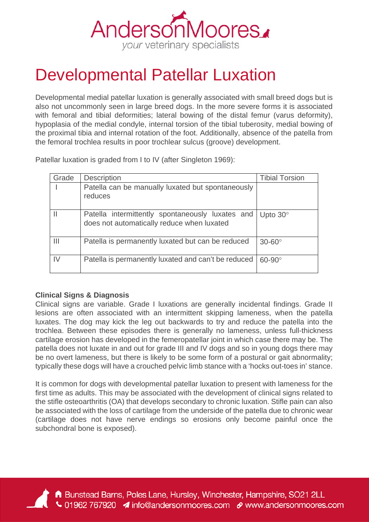

## Developmental Patellar Luxation

Developmental medial patellar luxation is generally associated with small breed dogs but is also not uncommonly seen in large breed dogs. In the more severe forms it is associated with femoral and tibial deformities; lateral bowing of the distal femur (varus deformity), hypoplasia of the medial condyle, internal torsion of the tibial tuberosity, medial bowing of the proximal tibia and internal rotation of the foot. Additionally, absence of the patella from the femoral trochlea results in poor trochlear sulcus (groove) development.

Patellar luxation is graded from I to IV (after Singleton 1969):

| Grade         | <b>Description</b>                                                                             | <b>Tibial Torsion</b> |
|---------------|------------------------------------------------------------------------------------------------|-----------------------|
|               | Patella can be manually luxated but spontaneously<br>reduces                                   |                       |
|               | Patella intermittently spontaneously luxates and<br>does not automatically reduce when luxated | Upto $30^\circ$       |
| Ш             | Patella is permanently luxated but can be reduced                                              | $30-60^\circ$         |
| $\mathsf{IV}$ | Patella is permanently luxated and can't be reduced                                            | $60-90^\circ$         |

## **Clinical Signs & Diagnosis**

Clinical signs are variable. Grade I luxations are generally incidental findings. Grade II lesions are often associated with an intermittent skipping lameness, when the patella luxates. The dog may kick the leg out backwards to try and reduce the patella into the trochlea. Between these episodes there is generally no lameness, unless full-thickness cartilage erosion has developed in the femeropatellar joint in which case there may be. The patella does not luxate in and out for grade III and IV dogs and so in young dogs there may be no overt lameness, but there is likely to be some form of a postural or gait abnormality; typically these dogs will have a crouched pelvic limb stance with a 'hocks out-toes in' stance.

It is common for dogs with developmental patellar luxation to present with lameness for the first time as adults. This may be associated with the development of clinical signs related to the stifle osteoarthritis (OA) that develops secondary to chronic luxation. Stifle pain can also be associated with the loss of cartilage from the underside of the patella due to chronic wear (cartilage does not have nerve endings so erosions only become painful once the subchondral bone is exposed).